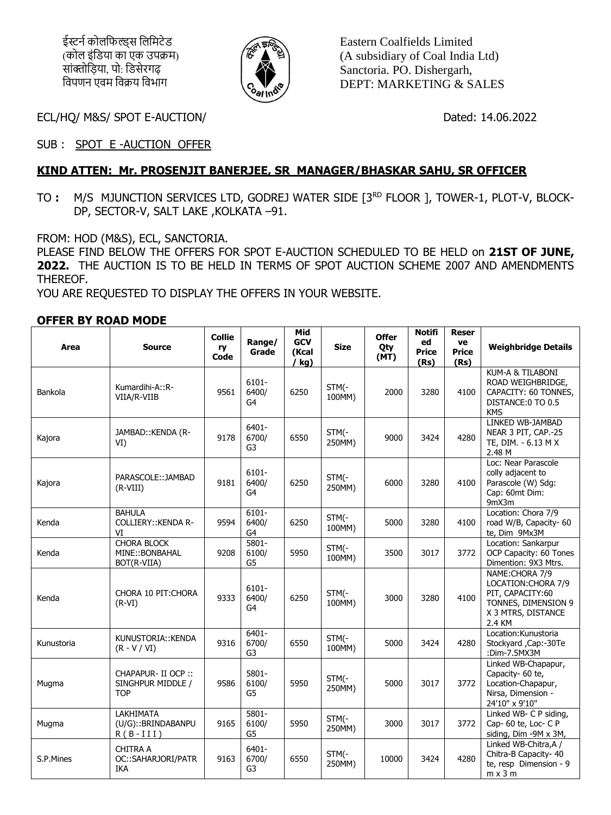ईस्टर्न कोलफिल्डस लिमिटेड (कोल इंडिया का एक उपक्रम) सांक्तोडिया, पो: डिसेरगढ विपणन एवम विक्रय विभाग



Eastern Coalfields Limited (A subsidiary of Coal India Ltd) Sanctoria. PO. Dishergarh, DEPT: MARKETING & SALES

ECL/HQ/ M&S/ SPOT E-AUCTION/ Dated: 14.06.2022

SUB : SPOT E -AUCTION OFFER

## **KIND ATTEN: Mr. PROSENJIT BANERJEE, SR MANAGER/BHASKAR SAHU, SR OFFICER**

TO : M/S MJUNCTION SERVICES LTD, GODREJ WATER SIDE [3<sup>RD</sup> FLOOR ], TOWER-1, PLOT-V, BLOCK-DP, SECTOR-V, SALT LAKE ,KOLKATA –91.

FROM: HOD (M&S), ECL, SANCTORIA.

PLEASE FIND BELOW THE OFFERS FOR SPOT E-AUCTION SCHEDULED TO BE HELD on **21ST OF JUNE, 2022.** THE AUCTION IS TO BE HELD IN TERMS OF SPOT AUCTION SCHEME 2007 AND AMENDMENTS THEREOF.

YOU ARE REQUESTED TO DISPLAY THE OFFERS IN YOUR WEBSITE.

## **OFFER BY ROAD MODE**

| Area       | <b>Source</b>                                          | <b>Collie</b><br>ry<br>Code | Range/<br>Grade         | Mid<br><b>GCV</b><br>(Kcal<br>(kg) | <b>Size</b>     | <b>Offer</b><br>Qty<br>(MT) | <b>Notifi</b><br>ed<br><b>Price</b><br>(Rs) | <b>Reser</b><br>ve<br><b>Price</b><br>(Rs) | <b>Weighbridge Details</b>                                                                                        |
|------------|--------------------------------------------------------|-----------------------------|-------------------------|------------------------------------|-----------------|-----------------------------|---------------------------------------------|--------------------------------------------|-------------------------------------------------------------------------------------------------------------------|
| Bankola    | Kumardihi-A::R-<br>VIIA/R-VIIB                         | 9561                        | 6101-<br>6400/<br>G4    | 6250                               | STM(-<br>100MM) | 2000                        | 3280                                        | 4100                                       | KUM-A & TILABONI<br>ROAD WEIGHBRIDGE,<br>CAPACITY: 60 TONNES.<br>DISTANCE:0 TO 0.5<br><b>KMS</b>                  |
| Kajora     | JAMBAD:: KENDA (R-<br>VI)                              | 9178                        | 6401-<br>6700/<br>G3    | 6550                               | STM(-<br>250MM) | 9000                        | 3424                                        | 4280                                       | LINKED WB-JAMBAD<br>NEAR 3 PIT, CAP.-25<br>TE, DIM. - 6.13 M X<br>2.48 M                                          |
| Kajora     | PARASCOLE:: JAMBAD<br>$(R-VIII)$                       | 9181                        | $6101 -$<br>6400/<br>G4 | 6250                               | STM(-<br>250MM) | 6000                        | 3280                                        | 4100                                       | Loc: Near Parascole<br>colly adjacent to<br>Parascole (W) Sdg:<br>Cap: 60mt Dim:<br>9mX3m                         |
| Kenda      | <b>BAHULA</b><br><b>COLLIERY:: KENDA R-</b><br>VI      | 9594                        | $6101 -$<br>6400/<br>G4 | 6250                               | STM(-<br>100MM) | 5000                        | 3280                                        | 4100                                       | Location: Chora 7/9<br>road W/B, Capacity- 60<br>te, Dim 9Mx3M                                                    |
| Kenda      | <b>CHORA BLOCK</b><br>MINE:: BONBAHAL<br>BOT(R-VIIA)   | 9208                        | 5801-<br>6100/<br>G5    | 5950                               | STM(-<br>100MM) | 3500                        | 3017                                        | 3772                                       | Location: Sankarpur<br>OCP Capacity: 60 Tones<br>Dimention: 9X3 Mtrs.                                             |
| Kenda      | CHORA 10 PIT: CHORA<br>$(R-VI)$                        | 9333                        | $6101 -$<br>6400/<br>G4 | 6250                               | STM(-<br>100MM) | 3000                        | 3280                                        | 4100                                       | NAME: CHORA 7/9<br>LOCATION: CHORA 7/9<br>PIT, CAPACITY:60<br>TONNES, DIMENSION 9<br>X 3 MTRS, DISTANCE<br>2.4 KM |
| Kunustoria | KUNUSTORIA::KENDA<br>$(R - V / VI)$                    | 9316                        | $6401 -$<br>6700/<br>G3 | 6550                               | STM(-<br>100MM) | 5000                        | 3424                                        | 4280                                       | Location: Kunustoria<br>Stockyard , Cap:-30Te<br>:Dim-7.5MX3M                                                     |
| Mugma      | CHAPAPUR- II OCP ::<br>SINGHPUR MIDDLE /<br><b>TOP</b> | 9586                        | 5801-<br>6100/<br>G5    | 5950                               | STM(-<br>250MM) | 5000                        | 3017                                        | 3772                                       | Linked WB-Chapapur,<br>Capacity- 60 te,<br>Location-Chapapur,<br>Nirsa, Dimension -<br>24'10" x 9'10"             |
| Mugma      | LAKHIMATA<br>(U/G):: BRINDABANPU<br>$R(B-III)$         | 9165                        | 5801-<br>6100/<br>G5    | 5950                               | STM(-<br>250MM) | 3000                        | 3017                                        | 3772                                       | Linked WB- C P siding,<br>Cap-60 te, Loc-CP<br>siding, Dim -9M x 3M,                                              |
| S.P.Mines  | <b>CHITRA A</b><br>OC::SAHARJORI/PATR<br>IKA           | 9163                        | $6401 -$<br>6700/<br>G3 | 6550                               | STM(-<br>250MM) | 10000                       | 3424                                        | 4280                                       | Linked WB-Chitra, A /<br>Chitra-B Capacity- 40<br>te, resp Dimension - 9<br>$m \times 3 m$                        |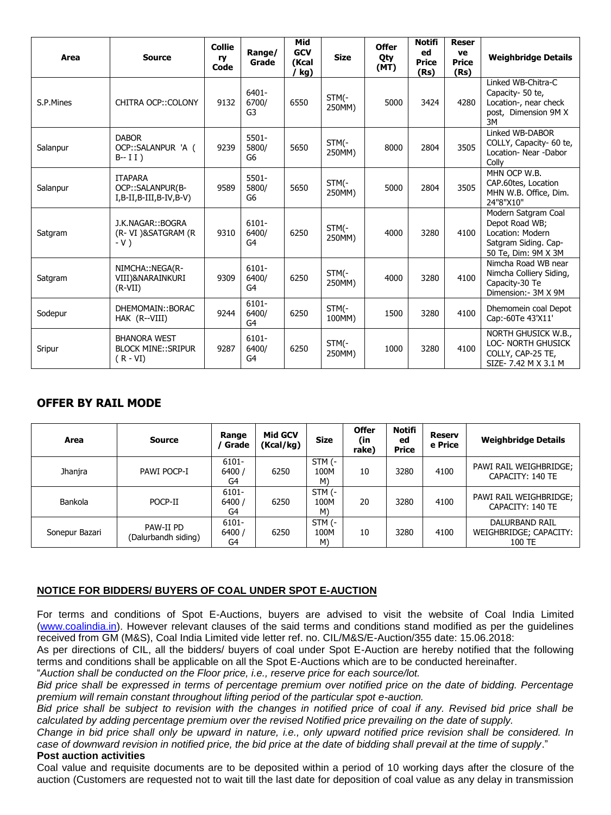| Area      | <b>Source</b>                                                     | <b>Collie</b><br>ry<br>Code | Range/<br>Grade                     | Mid<br><b>GCV</b><br>(Kcal<br>kg) | <b>Size</b>     | <b>Offer</b><br>Qty<br>(MT) | <b>Notifi</b><br>ed<br><b>Price</b><br>(Rs) | <b>Reser</b><br>ve<br><b>Price</b><br>(Rs) | <b>Weighbridge Details</b>                                                                               |
|-----------|-------------------------------------------------------------------|-----------------------------|-------------------------------------|-----------------------------------|-----------------|-----------------------------|---------------------------------------------|--------------------------------------------|----------------------------------------------------------------------------------------------------------|
| S.P.Mines | CHITRA OCP:: COLONY                                               | 9132                        | 6401-<br>6700/<br>G3                | 6550                              | STM(-<br>250MM) | 5000                        | 3424                                        | 4280                                       | Linked WB-Chitra-C<br>Capacity- 50 te,<br>Location-, near check<br>post, Dimension 9M X<br>3M            |
| Salanpur  | <b>DABOR</b><br>OCP::SALANPUR 'A (<br>$B - I I)$                  | 9239                        | 5501-<br>5800/<br>G6                | 5650                              | STM(-<br>250MM) | 8000                        | 2804                                        | 3505                                       | Linked WB-DABOR<br>COLLY, Capacity- 60 te,<br>Location- Near -Dabor<br>Colly                             |
| Salanpur  | <b>ITAPARA</b><br>OCP::SALANPUR(B-<br>$I, B-II, B-III, B-IV, B-V$ | 9589                        | 5501-<br>5800/<br>G6                | 5650                              | STM(-<br>250MM) | 5000                        | 2804                                        | 3505                                       | MHN OCP W.B.<br>CAP.60tes, Location<br>MHN W.B. Office, Dim.<br>24"8"X10"                                |
| Satgram   | J.K.NAGAR::BOGRA<br>(R-VI)&SATGRAM (R<br>$-V)$                    | 9310                        | $6101 -$<br>6400/<br>G4             | 6250                              | STM(-<br>250MM) | 4000                        | 3280                                        | 4100                                       | Modern Satgram Coal<br>Depot Road WB;<br>Location: Modern<br>Satgram Siding. Cap-<br>50 Te, Dim: 9M X 3M |
| Satgram   | NIMCHA::NEGA(R-<br>VIII)&NARAINKURI<br>$(R-VII)$                  | 9309                        | $6101 -$<br>6400/<br>G4             | 6250                              | STM(-<br>250MM) | 4000                        | 3280                                        | 4100                                       | Nimcha Road WB near<br>Nimcha Colliery Siding,<br>Capacity-30 Te<br>Dimension: - 3M X 9M                 |
| Sodepur   | DHEMOMAIN::BORAC<br>HAK (R--VIII)                                 | 9244                        | $6101 -$<br>6400/<br>G <sub>4</sub> | 6250                              | STM(-<br>100MM) | 1500                        | 3280                                        | 4100                                       | Dhemomein coal Depot<br>Cap:-60Te 43'X11'                                                                |
| Sripur    | <b>BHANORA WEST</b><br><b>BLOCK MINE::SRIPUR</b><br>$(R - VI)$    | 9287                        | 6101-<br>6400/<br>G4                | 6250                              | STM(-<br>250MM) | 1000                        | 3280                                        | 4100                                       | NORTH GHUSICK W.B.,<br><b>LOC- NORTH GHUSICK</b><br>COLLY, CAP-25 TE,<br>SIZE-7.42 M X 3.1 M             |

# **OFFER BY RAIL MODE**

| Area           | <b>Source</b>                    | Range<br>Grade       | Mid GCV<br>(Kcal/kg) | <b>Size</b>          | <b>Offer</b><br>(in<br>rake) | <b>Notifi</b><br>ed<br><b>Price</b> | <b>Reserv</b><br>e Price | <b>Weighbridge Details</b>                         |
|----------------|----------------------------------|----------------------|----------------------|----------------------|------------------------------|-------------------------------------|--------------------------|----------------------------------------------------|
| Jhanjra        | PAWI POCP-I                      | 6101-<br>6400/<br>G4 | 6250                 | STM (-<br>100M<br>M) | 10                           | 3280                                | 4100                     | PAWI RAIL WEIGHBRIDGE;<br>CAPACITY: 140 TE         |
| Bankola        | POCP-II                          | 6101-<br>6400/<br>G4 | 6250                 | STM (-<br>100M<br>M) | 20                           | 3280                                | 4100                     | PAWI RAIL WEIGHBRIDGE;<br>CAPACITY: 140 TE         |
| Sonepur Bazari | PAW-II PD<br>(Dalurbandh siding) | 6101-<br>6400/<br>G4 | 6250                 | STM (-<br>100M<br>M) | 10                           | 3280                                | 4100                     | DALURBAND RAIL<br>WEIGHBRIDGE; CAPACITY:<br>100 TE |

### **NOTICE FOR BIDDERS/ BUYERS OF COAL UNDER SPOT E-AUCTION**

For terms and conditions of Spot E-Auctions, buyers are advised to visit the website of Coal India Limited [\(www.coalindia.in\)](http://www.coalindia.in/). However relevant clauses of the said terms and conditions stand modified as per the guidelines received from GM (M&S), Coal India Limited vide letter ref. no. CIL/M&S/E-Auction/355 date: 15.06.2018:

As per directions of CIL, all the bidders/ buyers of coal under Spot E-Auction are hereby notified that the following terms and conditions shall be applicable on all the Spot E-Auctions which are to be conducted hereinafter.

"*Auction shall be conducted on the Floor price, i.e., reserve price for each source/lot.*

*Bid price shall be expressed in terms of percentage premium over notified price on the date of bidding. Percentage premium will remain constant throughout lifting period of the particular spot e-auction.*

*Bid price shall be subject to revision with the changes in notified price of coal if any. Revised bid price shall be calculated by adding percentage premium over the revised Notified price prevailing on the date of supply.*

*Change in bid price shall only be upward in nature, i.e., only upward notified price revision shall be considered. In case of downward revision in notified price, the bid price at the date of bidding shall prevail at the time of supply*."

#### **Post auction activities**

Coal value and requisite documents are to be deposited within a period of 10 working days after the closure of the auction (Customers are requested not to wait till the last date for deposition of coal value as any delay in transmission